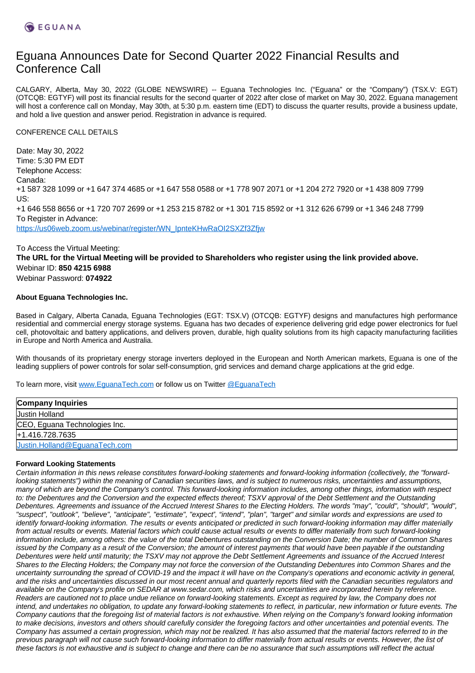# Eguana Announces Date for Second Quarter 2022 Financial Results and Conference Call

CALGARY, Alberta, May 30, 2022 (GLOBE NEWSWIRE) -- Eguana Technologies Inc. ("Eguana" or the "Company") (TSX.V: EGT) (OTCQB: EGTYF) will post its financial results for the second quarter of 2022 after close of market on May 30, 2022. Eguana management will host a conference call on Monday, May 30th, at 5:30 p.m. eastern time (EDT) to discuss the quarter results, provide a business update, and hold a live question and answer period. Registration in advance is required.

CONFERENCE CALL DETAILS

Date: May 30, 2022 Time: 5:30 PM EDT Telephone Access: Canada: +1 587 328 1099 or +1 647 374 4685 or +1 647 558 0588 or +1 778 907 2071 or +1 204 272 7920 or +1 438 809 7799 US: +1 646 558 8656 or +1 720 707 2699 or +1 253 215 8782 or +1 301 715 8592 or +1 312 626 6799 or +1 346 248 7799 To Register in Advance: [https://us06web.zoom.us/webinar/register/WN\\_IpnteKHwRaOI2SXZf3Zfjw](https://us06web.zoom.us/webinar/register/WN_IpnteKHwRaOI2SXZf3Zfjw)

### To Access the Virtual Meeting:

**The URL for the Virtual Meeting will be provided to Shareholders who register using the link provided above.** Webinar ID: **850 4215 6988** Webinar Password: **074922**

### **About Eguana Technologies Inc.**

Based in Calgary, Alberta Canada, Eguana Technologies (EGT: TSX.V) (OTCQB: EGTYF) designs and manufactures high performance residential and commercial energy storage systems. Eguana has two decades of experience delivering grid edge power electronics for fuel cell, photovoltaic and battery applications, and delivers proven, durable, high quality solutions from its high capacity manufacturing facilities in Europe and North America and Australia.

With thousands of its proprietary energy storage inverters deployed in the European and North American markets, Eguana is one of the leading suppliers of power controls for solar self-consumption, grid services and demand charge applications at the grid edge.

To learn more, visit [www.EguanaTech.com](http://www.eguanatech.com/) or follow us on Twitter [@EguanaTech](https://twitter.com/EguanaTech)

## **Forward Looking Statements**

Certain information in this news release constitutes forward-looking statements and forward-looking information (collectively, the "forwardlooking statements") within the meaning of Canadian securities laws, and is subject to numerous risks, uncertainties and assumptions, many of which are beyond the Company's control. This forward-looking information includes, among other things, information with respect to: the Debentures and the Conversion and the expected effects thereof; TSXV approval of the Debt Settlement and the Outstanding Debentures. Agreements and issuance of the Accrued Interest Shares to the Electing Holders. The words "may", "could", "should", "would", "suspect", "outlook", "believe", "anticipate", "estimate", "expect", "intend", "plan", "target" and similar words and expressions are used to identify forward-looking information. The results or events anticipated or predicted in such forward-looking information may differ materially from actual results or events. Material factors which could cause actual results or events to differ materially from such forward-looking information include, among others: the value of the total Debentures outstanding on the Conversion Date; the number of Common Shares issued by the Company as a result of the Conversion; the amount of interest payments that would have been payable if the outstanding Debentures were held until maturity; the TSXV may not approve the Debt Settlement Agreements and issuance of the Accrued Interest Shares to the Electing Holders; the Company may not force the conversion of the Outstanding Debentures into Common Shares and the uncertainty surrounding the spread of COVID-19 and the impact it will have on the Company's operations and economic activity in general, and the risks and uncertainties discussed in our most recent annual and quarterly reports filed with the Canadian securities regulators and available on the Company's profile on SEDAR at www.sedar.com, which risks and uncertainties are incorporated herein by reference. Readers are cautioned not to place undue reliance on forward-looking statements. Except as required by law, the Company does not intend, and undertakes no obligation, to update any forward-looking statements to reflect, in particular, new information or future events. The Company cautions that the foregoing list of material factors is not exhaustive. When relying on the Company's forward looking information to make decisions, investors and others should carefully consider the foregoing factors and other uncertainties and potential events. The Company has assumed a certain progression, which may not be realized. It has also assumed that the material factors referred to in the previous paragraph will not cause such forward-looking information to differ materially from actual results or events. However, the list of these factors is not exhaustive and is subject to change and there can be no assurance that such assumptions will reflect the actual